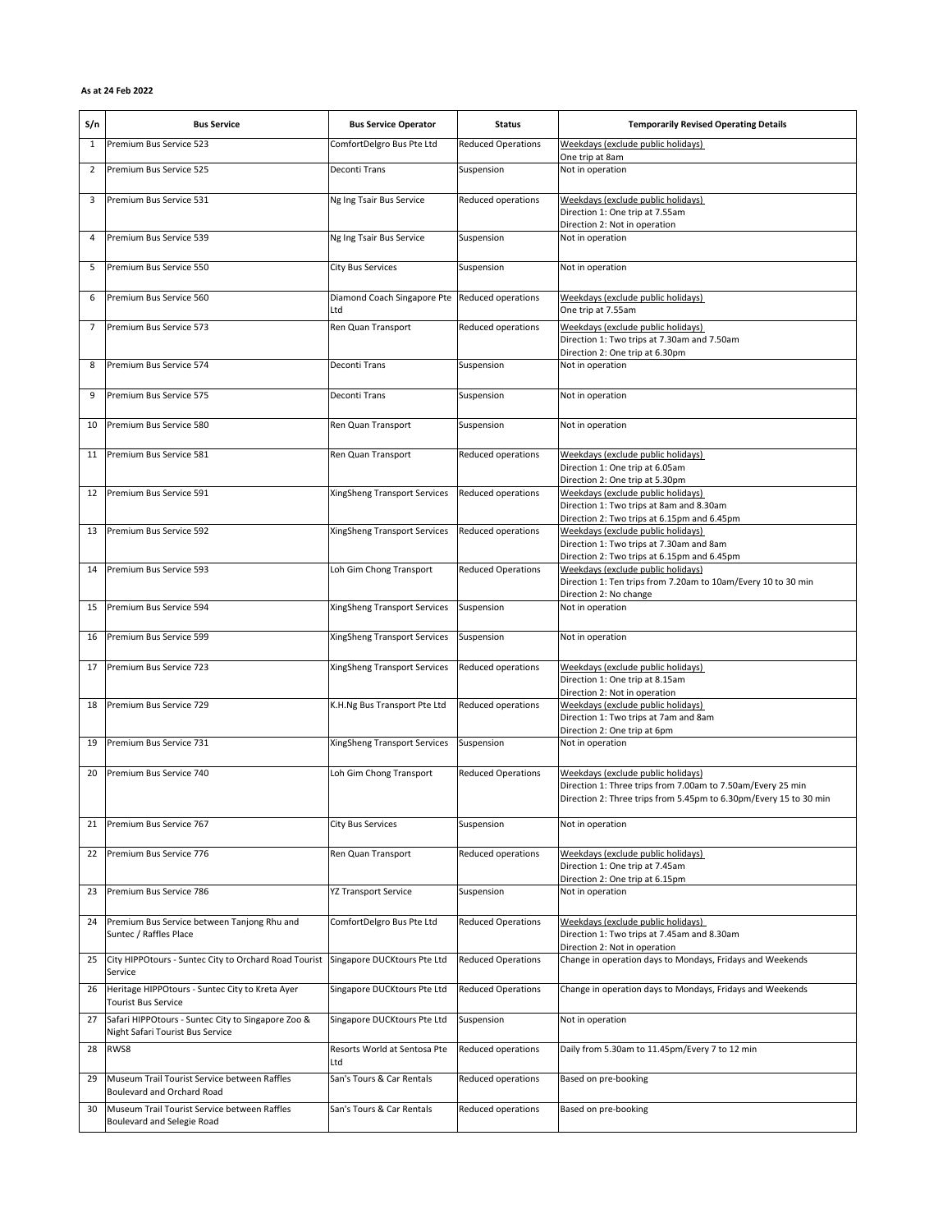## As at 24 Feb 2022

| S/n            | <b>Bus Service</b>                                                                     | <b>Bus Service Operator</b>                           | Status                    | <b>Temporarily Revised Operating Details</b>                                                                                                                           |
|----------------|----------------------------------------------------------------------------------------|-------------------------------------------------------|---------------------------|------------------------------------------------------------------------------------------------------------------------------------------------------------------------|
| $\mathbf{1}$   | Premium Bus Service 523                                                                | ComfortDelgro Bus Pte Ltd                             | <b>Reduced Operations</b> | Weekdays (exclude public holidays)<br>One trip at 8am                                                                                                                  |
| $\overline{2}$ | Premium Bus Service 525                                                                | <b>Deconti Trans</b>                                  | Suspension                | Not in operation                                                                                                                                                       |
| 3              | Premium Bus Service 531                                                                | Ng Ing Tsair Bus Service                              | Reduced operations        | Weekdays (exclude public holidays)<br>Direction 1: One trip at 7.55am<br>Direction 2: Not in operation                                                                 |
| 4              | Premium Bus Service 539                                                                | Ng Ing Tsair Bus Service                              | Suspension                | Not in operation                                                                                                                                                       |
| 5              | Premium Bus Service 550                                                                | <b>City Bus Services</b>                              | Suspension                | Not in operation                                                                                                                                                       |
| 6              | Premium Bus Service 560                                                                | Diamond Coach Singapore Pte Reduced operations<br>Ltd |                           | Weekdays (exclude public holidays)<br>One trip at 7.55am                                                                                                               |
| 7              | Premium Bus Service 573                                                                | Ren Quan Transport                                    | Reduced operations        | Weekdays (exclude public holidays)<br>Direction 1: Two trips at 7.30am and 7.50am<br>Direction 2: One trip at 6.30pm                                                   |
| 8              | Premium Bus Service 574                                                                | <b>Deconti Trans</b>                                  | Suspension                | Not in operation                                                                                                                                                       |
| 9              | Premium Bus Service 575                                                                | <b>Deconti Trans</b>                                  | Suspension                | Not in operation                                                                                                                                                       |
| 10             | Premium Bus Service 580                                                                | Ren Quan Transport                                    | Suspension                | Not in operation                                                                                                                                                       |
| 11             | Premium Bus Service 581                                                                | Ren Quan Transport                                    | Reduced operations        | Weekdays (exclude public holidays)<br>Direction 1: One trip at 6.05am<br>Direction 2: One trip at 5.30pm                                                               |
| 12             | Premium Bus Service 591                                                                | XingSheng Transport Services                          | Reduced operations        | Weekdays (exclude public holidays)<br>Direction 1: Two trips at 8am and 8.30am<br>Direction 2: Two trips at 6.15pm and 6.45pm                                          |
| 13             | Premium Bus Service 592                                                                | XingSheng Transport Services                          | Reduced operations        | Weekdays (exclude public holidays)<br>Direction 1: Two trips at 7.30am and 8am<br>Direction 2: Two trips at 6.15pm and 6.45pm                                          |
| 14             | Premium Bus Service 593                                                                | Loh Gim Chong Transport                               | <b>Reduced Operations</b> | Weekdays (exclude public holidays)<br>Direction 1: Ten trips from 7.20am to 10am/Every 10 to 30 min<br>Direction 2: No change                                          |
| 15             | Premium Bus Service 594                                                                | XingSheng Transport Services                          | Suspension                | Not in operation                                                                                                                                                       |
| 16             | Premium Bus Service 599                                                                | XingSheng Transport Services                          | Suspension                | Not in operation                                                                                                                                                       |
| 17             | Premium Bus Service 723                                                                | XingSheng Transport Services                          | Reduced operations        | Weekdays (exclude public holidays)<br>Direction 1: One trip at 8.15am<br>Direction 2: Not in operation                                                                 |
| 18             | Premium Bus Service 729                                                                | K.H.Ng Bus Transport Pte Ltd                          | Reduced operations        | Weekdays (exclude public holidays)<br>Direction 1: Two trips at 7am and 8am<br>Direction 2: One trip at 6pm                                                            |
| 19             | Premium Bus Service 731                                                                | XingSheng Transport Services                          | Suspension                | Not in operation                                                                                                                                                       |
| 20             | Premium Bus Service 740                                                                | Loh Gim Chong Transport                               | <b>Reduced Operations</b> | Weekdays (exclude public holidays)<br>Direction 1: Three trips from 7.00am to 7.50am/Every 25 min<br>Direction 2: Three trips from 5.45pm to 6.30pm/Every 15 to 30 min |
| 21             | Premium Bus Service 767                                                                | <b>City Bus Services</b>                              | Suspension                | Not in operation                                                                                                                                                       |
| 22             | Premium Bus Service 776                                                                | Ren Quan Transport                                    | Reduced operations        | Weekdays (exclude public holidays)<br>Direction 1: One trip at 7.45am<br>Direction 2: One trip at 6.15pm                                                               |
| 23             | Premium Bus Service 786                                                                | <b>YZ Transport Service</b>                           | Suspension                | Not in operation                                                                                                                                                       |
| 24             | Premium Bus Service between Tanjong Rhu and<br>Suntec / Raffles Place                  | ComfortDelgro Bus Pte Ltd                             | <b>Reduced Operations</b> | Weekdays (exclude public holidays)<br>Direction 1: Two trips at 7.45am and 8.30am<br>Direction 2: Not in operation                                                     |
| 25             | City HIPPOtours - Suntec City to Orchard Road Tourist<br>Service                       | Singapore DUCKtours Pte Ltd                           | <b>Reduced Operations</b> | Change in operation days to Mondays, Fridays and Weekends                                                                                                              |
| 26             | Heritage HIPPOtours - Suntec City to Kreta Ayer<br><b>Tourist Bus Service</b>          | Singapore DUCKtours Pte Ltd                           | <b>Reduced Operations</b> | Change in operation days to Mondays, Fridays and Weekends                                                                                                              |
| 27             | Safari HIPPOtours - Suntec City to Singapore Zoo &<br>Night Safari Tourist Bus Service | Singapore DUCKtours Pte Ltd                           | Suspension                | Not in operation                                                                                                                                                       |
| 28             | RWS8                                                                                   | Resorts World at Sentosa Pte<br>Ltd                   | Reduced operations        | Daily from 5.30am to 11.45pm/Every 7 to 12 min                                                                                                                         |
| 29             | Museum Trail Tourist Service between Raffles<br>Boulevard and Orchard Road             | San's Tours & Car Rentals                             | Reduced operations        | Based on pre-booking                                                                                                                                                   |
| 30             | Museum Trail Tourist Service between Raffles<br>Boulevard and Selegie Road             | San's Tours & Car Rentals                             | Reduced operations        | Based on pre-booking                                                                                                                                                   |